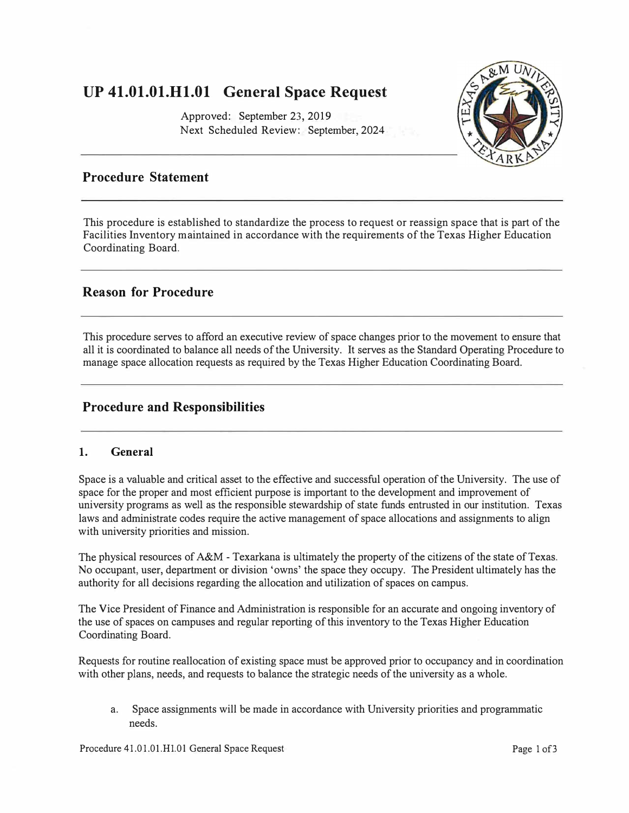# **UP 41.01.01.H1.01 General Space Request**

Approved: September 23, 2019 Next Scheduled Review: September, 2024



### **Procedure Statement**

This procedure is established to standardize the process to request or reassign space that is part of the Facilities Inventory maintained in accordance with the requirements of the Texas Higher Education Coordinating Board.

### **Reason for Procedure**

This procedure serves to afford an executive review of space changes prior to the movement to ensure that all it is coordinated to balance all needs of the University. It serves as the Standard Operating Procedure to manage space allocation requests as required by the Texas Higher Education Coordinating Board.

### **Procedure and Responsibilities**

#### **1. General**

Space is a valuable and critical asset to the effective and successful operation of the University. The use of space for the proper and most efficient purpose is important to the development and improvement of university programs as well as the responsible stewardship of state funds entrusted in our institution. Texas laws and administrate codes require the active management of space allocations and assignments to align with university priorities and mission.

The physical resources of A&M - Texarkana is ultimately the property of the citizens of the state of Texas. No occupant, user, department or division 'owns' the space they occupy. The President ultimately has the authority for all decisions regarding the allocation and utilization of spaces on campus.

The Vice President of Finance and Administration is responsible for an accurate and ongoing inventory of the use of spaces on campuses and regular reporting of this inventory to the Texas Higher Education Coordinating Board.

Requests for routine reallocation of existing space must be approved prior to occupancy and in coordination with other plans, needs, and requests to balance the strategic needs of the university as a whole.

a. Space assignments will be made in accordance with University priorities and programmatic needs.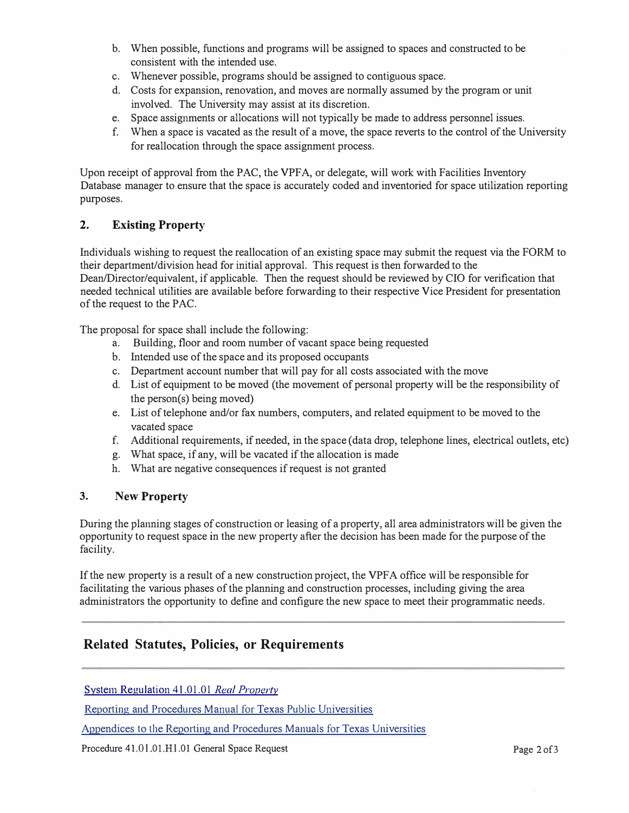- b. When possible, functions and programs will be assigned to spaces and constructed to be consistent with the intended use.
- c. Whenever possible, programs should be assigned to contiguous space.
- d. Costs for expansion, renovation, and moves are normally assumed by the program or unit involved. The University may assist at its discretion.
- e. Space assignments or allocations will not typically be made to address personnel issues.
- f. When a space is vacated as the result of a move, the space reverts to the control of the University for reallocation through the space assignment process.

Upon receipt of approval from the PAC, the VPFA, or delegate, will work with Facilities Inventory Database manager to ensure that the space is accurately coded and inventoried for space utilization reporting purposes.

### **2. Existing Property**

Individuals wishing to request the reallocation of an existing space may submit the request via the FORM to their department/division head for initial approval. This request is then forwarded to the Dean/Director/equivalent, if applicable. Then the request should be reviewed by CIO for verification that needed technical utilities are available before forwarding to their respective Vice President for presentation of the request to the PAC.

The proposal for space shall include the following:

- a. Building, floor and room number of vacant space being requested
- b. Intended use of the space and its proposed occupants
- c. Department account number that will pay for all costs associated with the move
- d. List of equipment to be moved (the movement of personal property will be the responsibility of the person(s) being moved)
- e. List of telephone and/or fax numbers, computers, and related equipment to be moved to the vacated space
- f. Additional requirements, if needed, in the space (data drop, telephone lines, electrical outlets, etc)
- g. What space, if any, will be vacated if the allocation is made
- h. What are negative consequences if request is not granted

### **3. New Property**

During the planning stages of construction or leasing of a property, all area administrators will be given the opportunity to request space in the new property after the decision has been made for the purpose of the facility.

If the new property is a result of a new construction project, the VPFA office will be responsible for facilitating the various phases of the planning and construction processes, including giving the area administrators the opportunity to define and configure the new space to meet their programmatic needs.

### **Related Statutes, Policies, or Requirements**

[System Regulation 41.01 .01](https://policies.tamus.edu/41-01-01.pdf) *Real Property*

[Reporting and Procedures Manual](http://reportcenter.highered.texas.gov/agency-publication/guidelines-manuals/reporting-and-procedures-manual-for-texas-public-universities-fall-2019/) for Texas Public Universities

Appendices to the Reporting and [Procedures Manuals for Texas Universities](http://www.thecb.state.tx.us/DocID/PDF/11538.PDF)

Procedure 41.01.01.H1.01 General Space Request **Page 2of3**